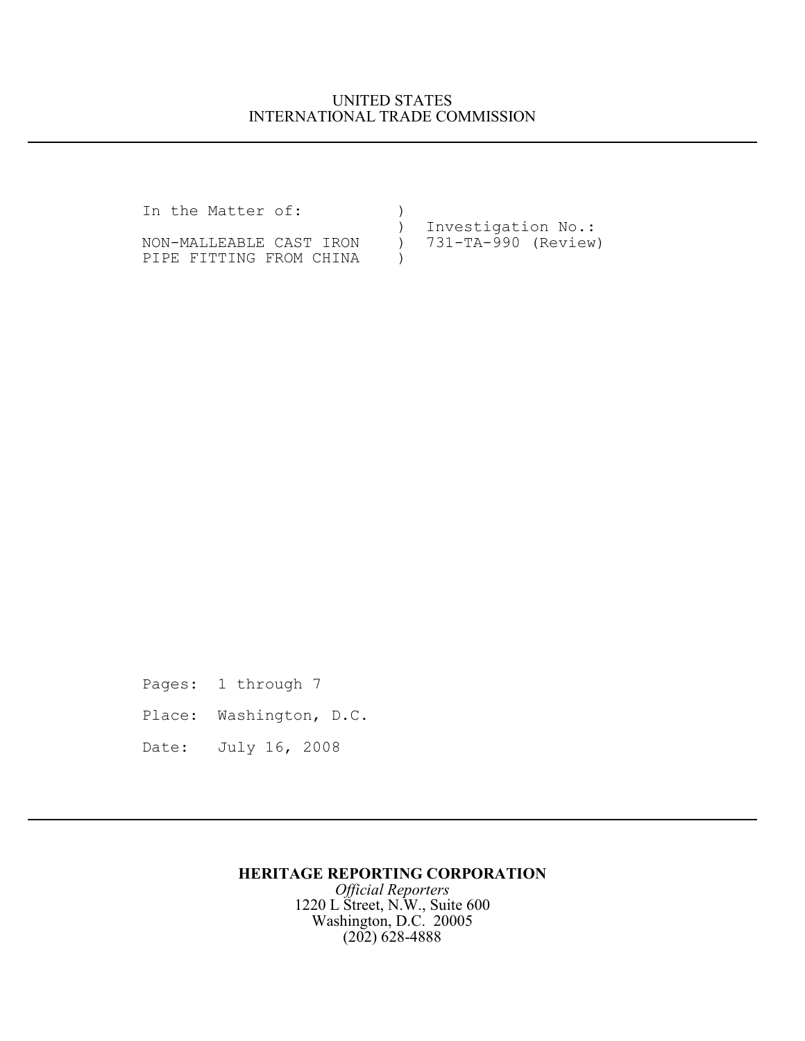## UNITED STATES INTERNATIONAL TRADE COMMISSION

In the Matter of: ) ) Investigation No.:<br>
) 731-TA-990 (Review) NON-MALLEABLE CAST IRON ) PIPE FITTING FROM CHINA )

Pages: 1 through 7

- Place: Washington, D.C.
- Date: July 16, 2008

## **HERITAGE REPORTING CORPORATION**

*Official Reporters* 1220 L Street, N.W., Suite 600 Washington, D.C. 20005 (202) 628-4888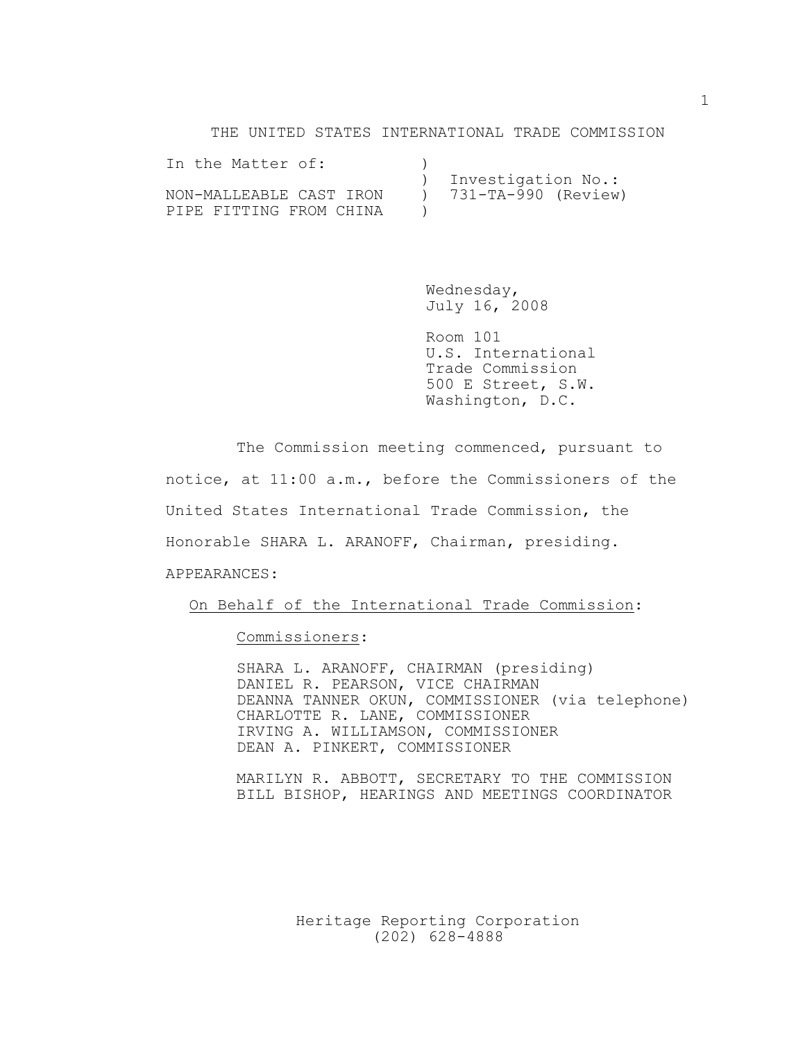#### THE UNITED STATES INTERNATIONAL TRADE COMMISSION

| In the Matter of:       |                         |
|-------------------------|-------------------------|
|                         | ) Investigation No.:    |
| NON-MALLEABLE CAST IRON | $) 731-TA-990 (Review)$ |
| PIPE FITTING FROM CHINA |                         |

Wednesday, July 16, 2008

Room 101 U.S. International Trade Commission 500 E Street, S.W. Washington, D.C.

The Commission meeting commenced, pursuant to notice, at 11:00 a.m., before the Commissioners of the United States International Trade Commission, the Honorable SHARA L. ARANOFF, Chairman, presiding. APPEARANCES:

On Behalf of the International Trade Commission:

Commissioners:

SHARA L. ARANOFF, CHAIRMAN (presiding) DANIEL R. PEARSON, VICE CHAIRMAN DEANNA TANNER OKUN, COMMISSIONER (via telephone) CHARLOTTE R. LANE, COMMISSIONER IRVING A. WILLIAMSON, COMMISSIONER DEAN A. PINKERT, COMMISSIONER

MARILYN R. ABBOTT, SECRETARY TO THE COMMISSION BILL BISHOP, HEARINGS AND MEETINGS COORDINATOR

> Heritage Reporting Corporation (202) 628-4888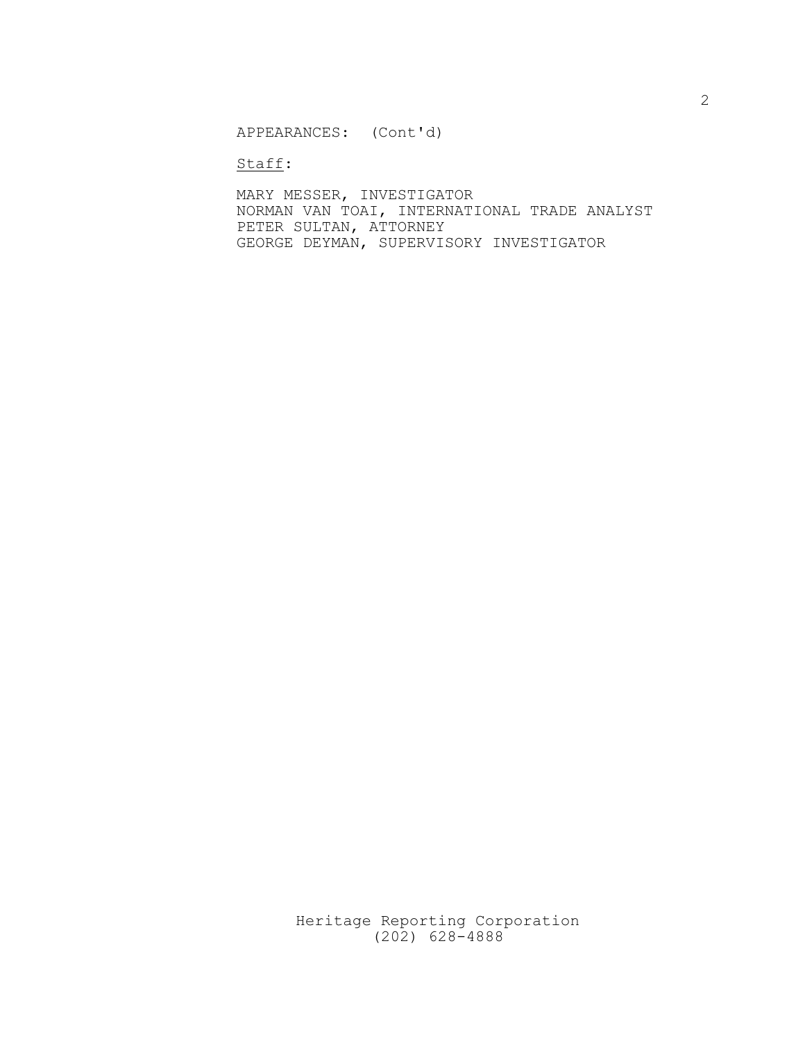APPEARANCES: (Cont'd)

Staff:

MARY MESSER, INVESTIGATOR NORMAN VAN TOAI, INTERNATIONAL TRADE ANALYST PETER SULTAN, ATTORNEY GEORGE DEYMAN, SUPERVISORY INVESTIGATOR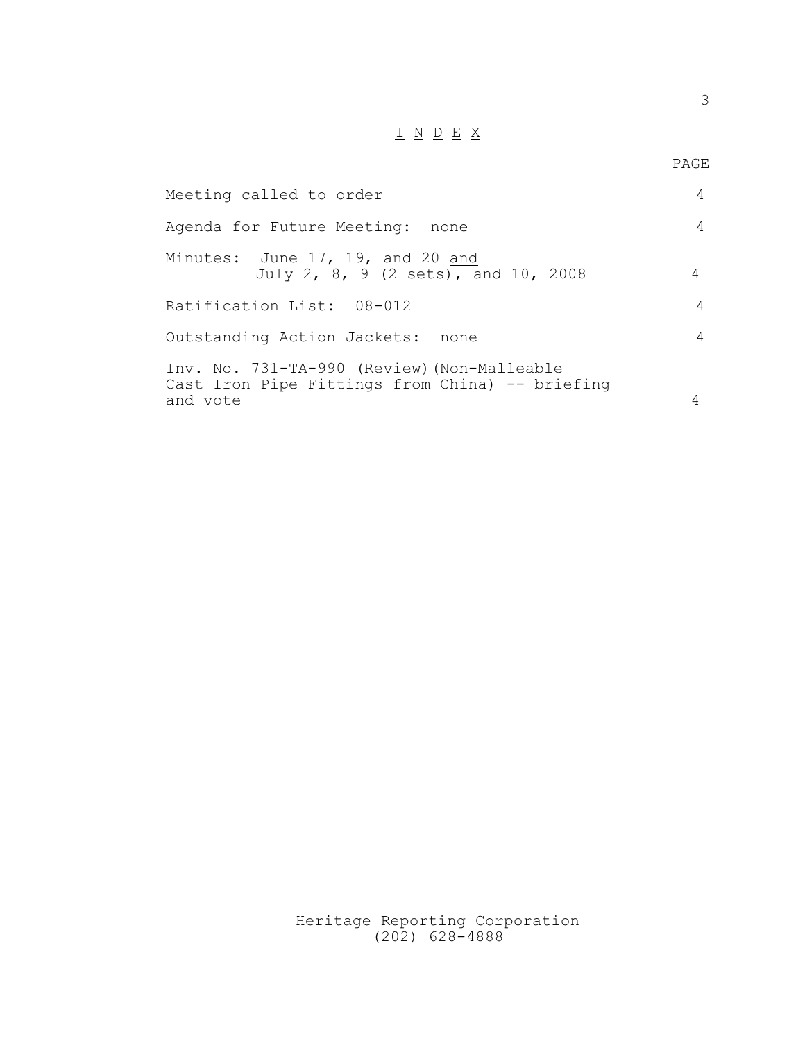# $\underline{\hskip 1cm I} \ \ \, \underline{N} \ \ \, \underline{D} \ \ \, \underline{E} \ \ \, \underline{X}$

| Meeting called to order                                                                                    | $\overline{4}$ |
|------------------------------------------------------------------------------------------------------------|----------------|
| Agenda for Future Meeting: none                                                                            | $\overline{4}$ |
| Minutes: June 17, 19, and 20 and<br>July 2, 8, 9 (2 sets), and 10, 2008                                    | 4              |
| Ratification List: 08-012                                                                                  | 4              |
| Outstanding Action Jackets: none                                                                           | 4              |
| Inv. No. 731-TA-990 (Review) (Non-Malleable<br>Cast Iron Pipe Fittings from China) -- briefing<br>and vote | 4              |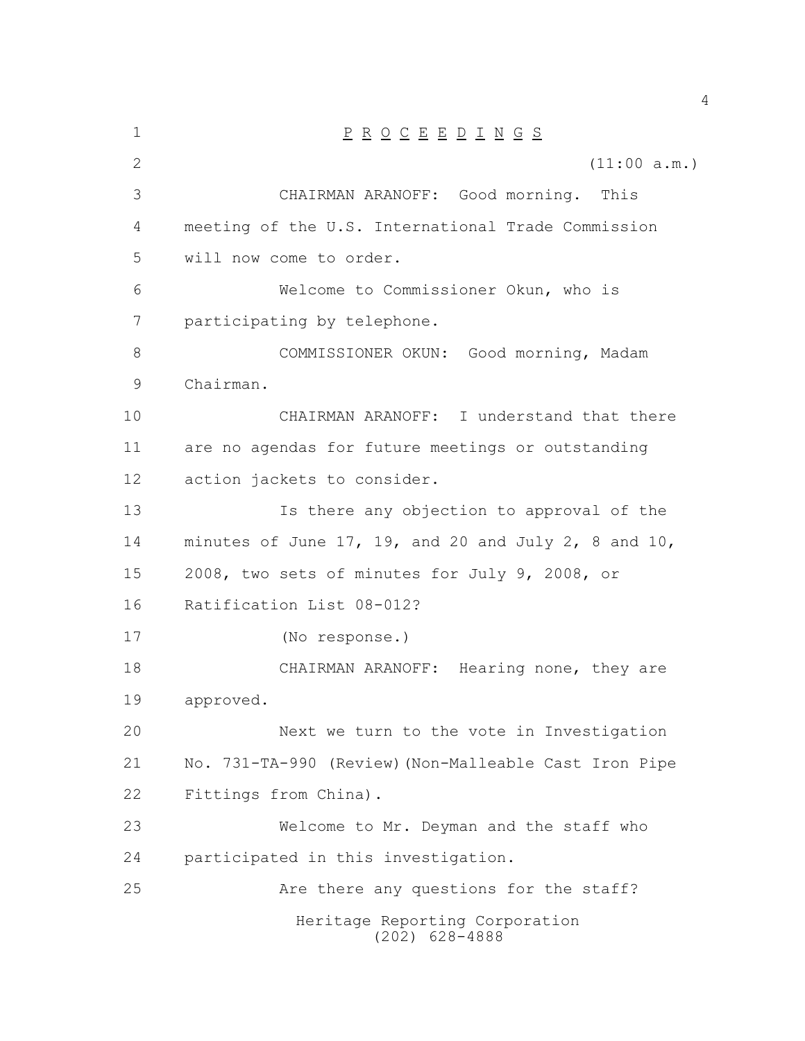| $\mathbf 1$ | $\underline{P} \underline{R} \underline{O} \underline{C} \underline{E} \underline{E} \underline{D} \underline{I} \underline{N} \underline{G} \underline{S}$ |
|-------------|-------------------------------------------------------------------------------------------------------------------------------------------------------------|
| 2           | (11:00 a.m.)                                                                                                                                                |
| 3           | CHAIRMAN ARANOFF: Good morning. This                                                                                                                        |
| 4           | meeting of the U.S. International Trade Commission                                                                                                          |
| 5           | will now come to order.                                                                                                                                     |
| 6           | Welcome to Commissioner Okun, who is                                                                                                                        |
| 7           | participating by telephone.                                                                                                                                 |
| 8           | COMMISSIONER OKUN: Good morning, Madam                                                                                                                      |
| 9           | Chairman.                                                                                                                                                   |
| 10          | CHAIRMAN ARANOFF: I understand that there                                                                                                                   |
| 11          | are no agendas for future meetings or outstanding                                                                                                           |
| 12          | action jackets to consider.                                                                                                                                 |
| 13          | Is there any objection to approval of the                                                                                                                   |
| 14          | minutes of June 17, 19, and 20 and July 2, 8 and 10,                                                                                                        |
| 15          | 2008, two sets of minutes for July 9, 2008, or                                                                                                              |
| 16          | Ratification List 08-012?                                                                                                                                   |
| 17          | (No response.)                                                                                                                                              |
| 18          | CHAIRMAN ARANOFF: Hearing none, they are                                                                                                                    |
| 19          | approved.                                                                                                                                                   |
| 20          | Next we turn to the vote in Investigation                                                                                                                   |
| 21          | No. 731-TA-990 (Review) (Non-Malleable Cast Iron Pipe                                                                                                       |
| 22          | Fittings from China).                                                                                                                                       |
| 23          | Welcome to Mr. Deyman and the staff who                                                                                                                     |
| 24          | participated in this investigation.                                                                                                                         |
| 25          | Are there any questions for the staff?                                                                                                                      |
|             | Heritage Reporting Corporation<br>$(202)$ 628-4888                                                                                                          |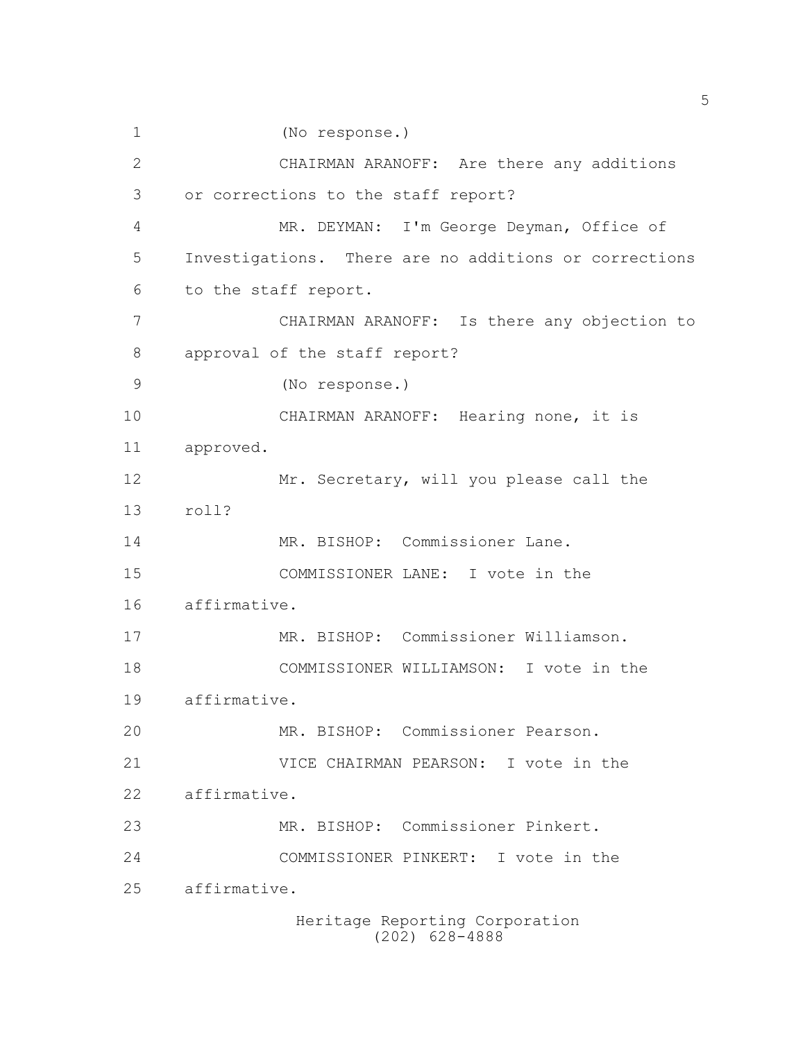Heritage Reporting Corporation (No response.) CHAIRMAN ARANOFF: Are there any additions or corrections to the staff report? MR. DEYMAN: I'm George Deyman, Office of Investigations. There are no additions or corrections to the staff report. CHAIRMAN ARANOFF: Is there any objection to approval of the staff report? (No response.) CHAIRMAN ARANOFF: Hearing none, it is approved. 12 Mr. Secretary, will you please call the roll? 14 MR. BISHOP: Commissioner Lane. COMMISSIONER LANE: I vote in the affirmative. MR. BISHOP: Commissioner Williamson. COMMISSIONER WILLIAMSON: I vote in the affirmative. MR. BISHOP: Commissioner Pearson. VICE CHAIRMAN PEARSON: I vote in the affirmative. MR. BISHOP: Commissioner Pinkert. COMMISSIONER PINKERT: I vote in the affirmative.

(202) 628-4888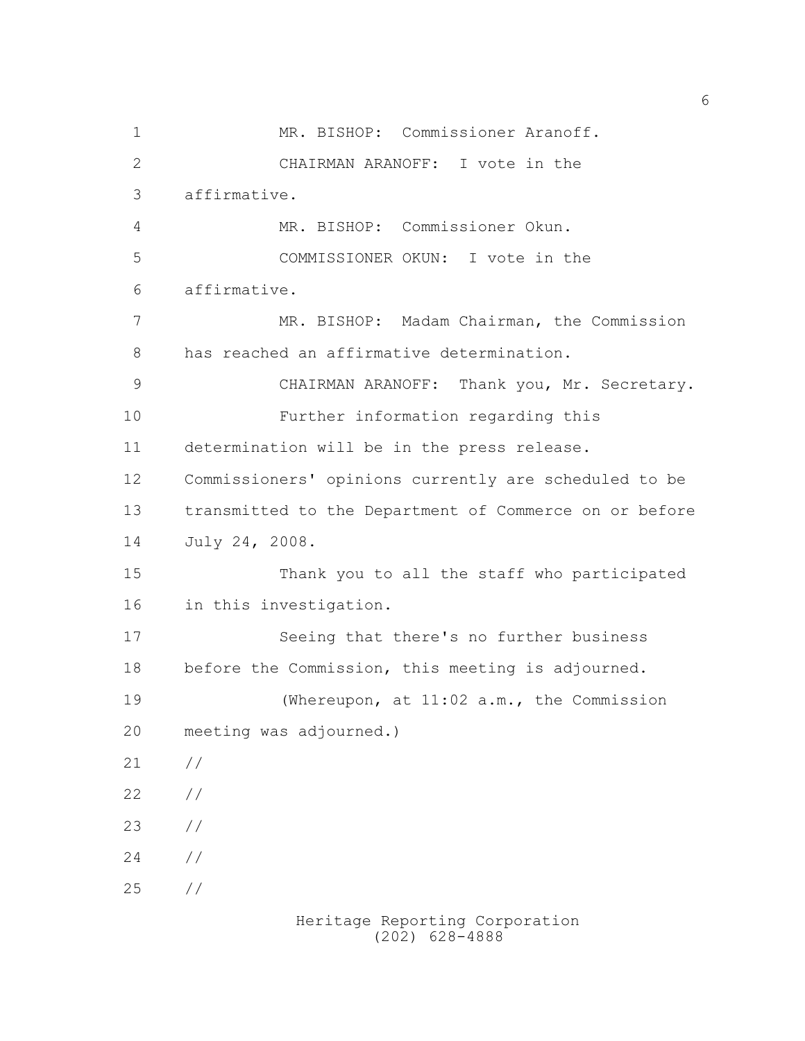1 MR. BISHOP: Commissioner Aranoff. CHAIRMAN ARANOFF: I vote in the affirmative. MR. BISHOP: Commissioner Okun. COMMISSIONER OKUN: I vote in the affirmative. MR. BISHOP: Madam Chairman, the Commission has reached an affirmative determination. CHAIRMAN ARANOFF: Thank you, Mr. Secretary. Further information regarding this determination will be in the press release. Commissioners' opinions currently are scheduled to be transmitted to the Department of Commerce on or before July 24, 2008. Thank you to all the staff who participated in this investigation. Seeing that there's no further business before the Commission, this meeting is adjourned. (Whereupon, at 11:02 a.m., the Commission meeting was adjourned.) // // //  $24 /$ //

Heritage Reporting Corporation (202) 628-4888